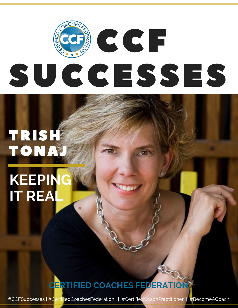# **CCF** SUCCESSES

# TRISH TONA

# **KEEPING IT REAL**

# **CERTIFIED COACHES FEDERATION**

#CCFSuccesses | #CertifiedCoachesFederation | #CertifiedCoachPractitioner | #BecomeACoach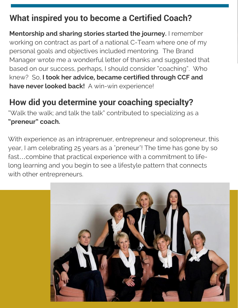### **What inspired you to become a Certified Coach?**

**Mentorship and sharing stories started the journey.** I remember working on contract as part of a national C-Team where one of my personal goals and objectives included mentoring. The Brand Manager wrote me a wonderful letter of thanks and suggested that based on our success, perhaps, I should consider "coaching". Who knew? So, **I took her advice, became certified through CCF and have never looked back!** A win-win experience!

# **How did you determine your coaching specialty?**

"Walk the walk; and talk the talk" contributed to specializing as a **"preneur" coach.**

With experience as an intraprenuer, entrepreneur and solopreneur, this year, I am celebrating 25 years as a "preneur"! The time has gone by so fast…combine that practical experience with a commitment to lifelong learning and you begin to see a lifestyle pattern that connects with other entrepreneurs.

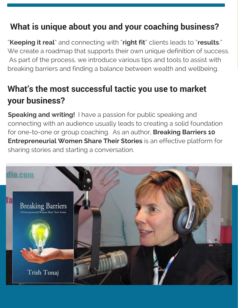### **What is unique about you and your coaching business?**

"**Keeping it real**" and connecting with "**right fit**" clients leads to "**results**." We create a roadmap that supports their own unique definition of success. As part of the process, we introduce various tips and tools to assist with breaking barriers and finding a balance between wealth and wellbeing.

### **What's the most successful tactic you use to market your business?**

**Speaking and writing!** I have a passion for public speaking and connecting with an audience usually leads to creating a solid foundation for one-to-one or group coaching. As an author, **Breaking Barriers 10 Entrepreneurial Women Share Their Stories** is an effective platform for sharing stories and starting a conversation.

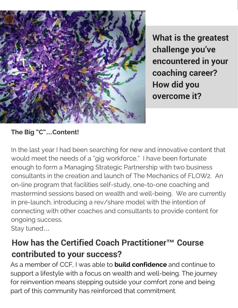

**What is the greatest challenge you've encountered in your coaching career? How did you overcome it?**

#### **The Big "C"…Content!**

In the last year I had been searching for new and innovative content that would meet the needs of a "gig workforce." I have been fortunate enough to form a Managing Strategic Partnership with two business consultants in the creation and launch of The Mechanics of FLOW2. An on-line program that facilities self-study, one-to-one coaching and mastermind sessions based on wealth and well-being. We are currently in pre-launch, introducing a rev/share model with the intention of connecting with other coaches and consultants to provide content for ongoing success.

Stay tuned…

# **How has the Certified Coach Practitioner™ Course contributed to your success?**

As a member of CCF, I was able to **build confidence** and continue to support a lifestyle with a focus on wealth and well-being. The journey for reinvention means stepping outside your comfort zone and being part of this community has reinforced that commitment.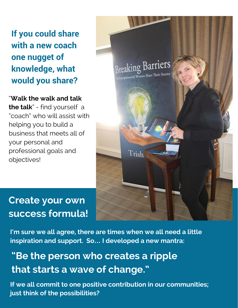**If you could share with a new coach one nugget of knowledge, what would you share?**

"**Walk the walk and talk the talk**" - find yourself a "coach" who will assist with helping you to build a business that meets all of your personal and professional goals and objectives!



# **Create your own success formula!**

**I'm sure we all agree, there are times when we all need a little inspiration and support. So… I developed a new mantra:**

# **"Be the person who creates a ripple that starts a wave of change."**

**If we all commit to one positive contribution in our communities; just think of the possibilities?**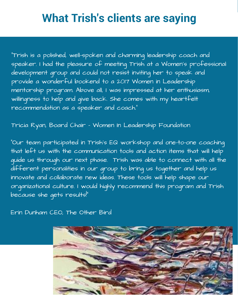# **What Trish's clients are saying**

"Trish is a polished, well-spoken and charming leadership coach and speaker. I had the pleasure of meeting Trish at a Women's professional development group and could not resist inviting her to speak and provide a wonderful bookend to a 2017 Women in Leadership mentorship program. Above all, I was impressed at her enthusiasm, willingness to help and give back. She comes with my heartfelt recommendation as a speaker and coach."

Tricia Ryan, Board Chair – Women In Leadership Foundation

"Our team participated in Trish's EQ workshop and one-to-one coaching that left us with the communication tools and action items that will help guide us through our next phase. Trish was able to connect with all the different personalities in our group to bring us together and help us innovate and collaborate new ideas. These tools will help shape our organizational culture. I would highly recommend this program and Trish because she gets results!"

Erin Dunham CEO, The Other Bird

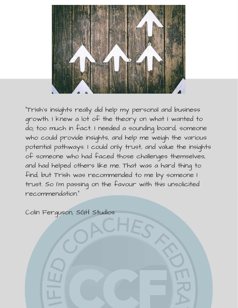

"Trish's insights really did help my personal and business growth. I knew a lot of the theory on what I wanted to do; too much in fact. I needed a sounding board, someone who could provide insights, and help me weigh the various potential pathways. I could only trust, and value the insights of someone who had faced those challenges themselves, and had helped others like me. That was a hard thing to find, but Trish was recommended to me by someone I trust. So I'm passing on the favour with this unsolicited recommendation."

Colin Ferguson, SGH Studios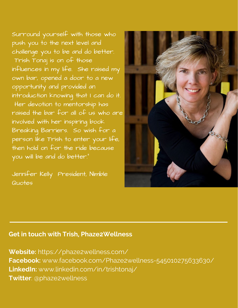Surround yourself with those who push you to the next level and challenge you to be and do better. Trish Tonaj is on of those influences in my life. She raised my own bar, opened a door to a new opportunity and provided an introduction knowing that I can do it. Her devotion to mentorship has raised the bar for all of us who are involved with her inspiring book Breaking Barriers. So wish for a person like Trish to enter your life, then hold on for the ride because you will be and do better."

Jennifer Kelly President, Nimble Quotes



#### **Get in touch with Trish, Phaze2Wellness**

**Website:** https://phaze2wellness.com/ **Facebook:** www.facebook.com/Phaze2wellness-545010275633630/ **LinkedIn:** www.linkedin.com/in/trishtonaj/ **Twitter**: @phaze2wellness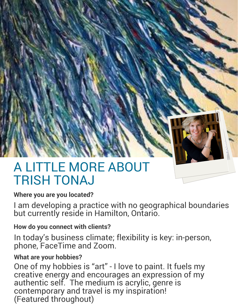

# A LITTLE MORE ABOUT TRISH TONAJ

#### **Where you are you located?**

I am developing a practice with no geographical boundaries but currently reside in Hamilton, Ontario.

#### **How do you connect with clients?**

In today's business climate; flexibility is key: in-person, phone, FaceTime and Zoom.

#### **What are your hobbies?**

One of my hobbies is "art" - I love to paint. It fuels my creative energy and encourages an expression of my authentic self. The medium is acrylic, genre is contemporary and travel is my inspiration! (Featured throughout)